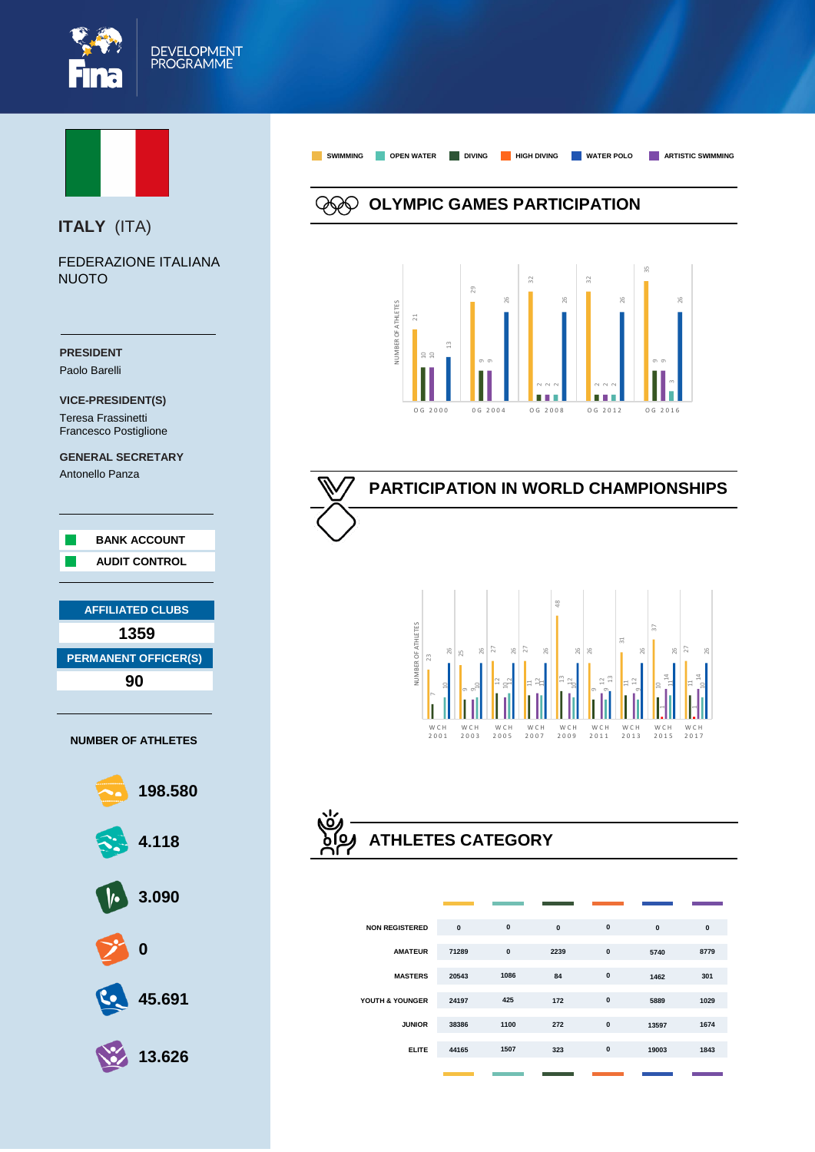



## **ITALY** (ITA)

FEDERAZIONE ITALIANA **NUOTO** 





# **PARTICIPATION IN WORLD CHAMPIONSHIPS**



## **ATHLETES CATEGORY**

| <b>NON REGISTERED</b> | $\mathbf{0}$ | $\pmb{0}$ | $\mathbf{0}$ | $\mathbf{0}$ | $\mathbf{0}$ | $\mathbf{0}$ |
|-----------------------|--------------|-----------|--------------|--------------|--------------|--------------|
| <b>AMATEUR</b>        | 71289        | $\pmb{0}$ | 2239         | $\pmb{0}$    | 5740         | 8779         |
| <b>MASTERS</b>        | 20543        | 1086      | 84           | $\mathbf{0}$ | 1462         | 301          |
| YOUTH & YOUNGER       | 24197        | 425       | 172          | $\mathbf{0}$ | 5889         | 1029         |
| <b>JUNIOR</b>         | 38386        | 1100      | 272          | $\mathbf{0}$ | 13597        | 1674         |
| <b>ELITE</b>          | 44165        | 1507      | 323          | $\mathbf{0}$ | 19003        | 1843         |